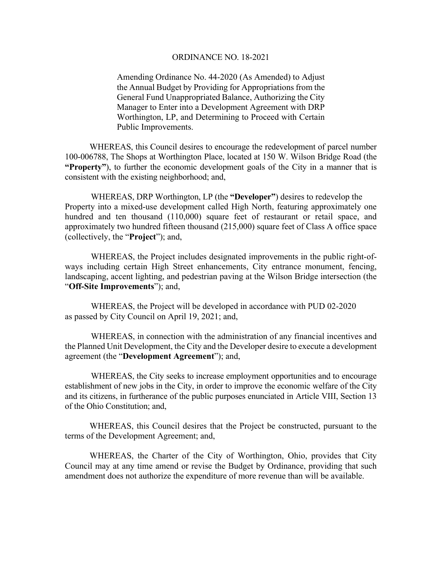## ORDINANCE NO. 18-2021

Amending Ordinance No. 44-2020 (As Amended) to Adjust the Annual Budget by Providing for Appropriations from the General Fund Unappropriated Balance, Authorizing the City Manager to Enter into a Development Agreement with DRP Worthington, LP, and Determining to Proceed with Certain Public Improvements.

 WHEREAS, this Council desires to encourage the redevelopment of parcel number 100-006788, The Shops at Worthington Place, located at 150 W. Wilson Bridge Road (the **"Property"**), to further the economic development goals of the City in a manner that is consistent with the existing neighborhood; and,

WHEREAS, DRP Worthington, LP (the **"Developer"**) desires to redevelop the Property into a mixed-use development called High North, featuring approximately one hundred and ten thousand (110,000) square feet of restaurant or retail space, and approximately two hundred fifteen thousand (215,000) square feet of Class A office space (collectively, the "**Project**"); and,

WHEREAS, the Project includes designated improvements in the public right-ofways including certain High Street enhancements, City entrance monument, fencing, landscaping, accent lighting, and pedestrian paving at the Wilson Bridge intersection (the "**Off-Site Improvements**"); and,

WHEREAS, the Project will be developed in accordance with PUD 02-2020 as passed by City Council on April 19, 2021; and,

WHEREAS, in connection with the administration of any financial incentives and the Planned Unit Development, the City and the Developer desire to execute a development agreement (the "**Development Agreement**"); and,

 WHEREAS, the City seeks to increase employment opportunities and to encourage establishment of new jobs in the City, in order to improve the economic welfare of the City and its citizens, in furtherance of the public purposes enunciated in Article VIII, Section 13 of the Ohio Constitution; and,

 WHEREAS, this Council desires that the Project be constructed, pursuant to the terms of the Development Agreement; and,

 WHEREAS, the Charter of the City of Worthington, Ohio, provides that City Council may at any time amend or revise the Budget by Ordinance, providing that such amendment does not authorize the expenditure of more revenue than will be available.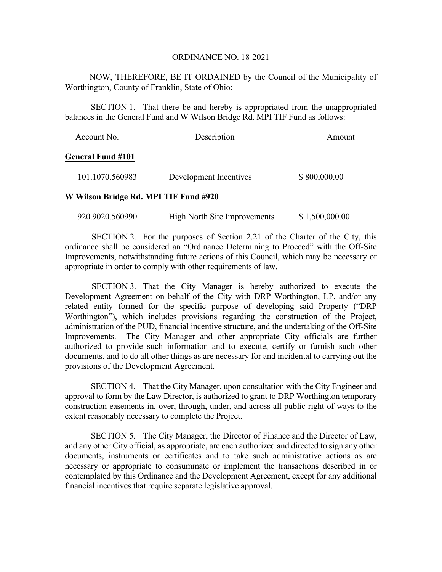## ORDINANCE NO. 18-2021

 NOW, THEREFORE, BE IT ORDAINED by the Council of the Municipality of Worthington, County of Franklin, State of Ohio:

 SECTION 1. That there be and hereby is appropriated from the unappropriated balances in the General Fund and W Wilson Bridge Rd. MPI TIF Fund as follows:

| Account No.              | Description            | Amount       |
|--------------------------|------------------------|--------------|
| <b>General Fund #101</b> |                        |              |
| 101.1070.560983          | Development Incentives | \$800,000.00 |

## **W Wilson Bridge Rd. MPI TIF Fund #920**

920.9020.560990 High North Site Improvements \$ 1,500,000.00

 SECTION 2. For the purposes of Section 2.21 of the Charter of the City, this ordinance shall be considered an "Ordinance Determining to Proceed" with the Off-Site Improvements, notwithstanding future actions of this Council, which may be necessary or appropriate in order to comply with other requirements of law.

 SECTION 3. That the City Manager is hereby authorized to execute the Development Agreement on behalf of the City with DRP Worthington, LP, and/or any related entity formed for the specific purpose of developing said Property ("DRP Worthington"), which includes provisions regarding the construction of the Project, administration of the PUD, financial incentive structure, and the undertaking of the Off-Site Improvements. The City Manager and other appropriate City officials are further authorized to provide such information and to execute, certify or furnish such other documents, and to do all other things as are necessary for and incidental to carrying out the provisions of the Development Agreement.

SECTION 4. That the City Manager, upon consultation with the City Engineer and approval to form by the Law Director, is authorized to grant to DRP Worthington temporary construction easements in, over, through, under, and across all public right-of-ways to the extent reasonably necessary to complete the Project.

SECTION 5. The City Manager, the Director of Finance and the Director of Law, and any other City official, as appropriate, are each authorized and directed to sign any other documents, instruments or certificates and to take such administrative actions as are necessary or appropriate to consummate or implement the transactions described in or contemplated by this Ordinance and the Development Agreement, except for any additional financial incentives that require separate legislative approval.